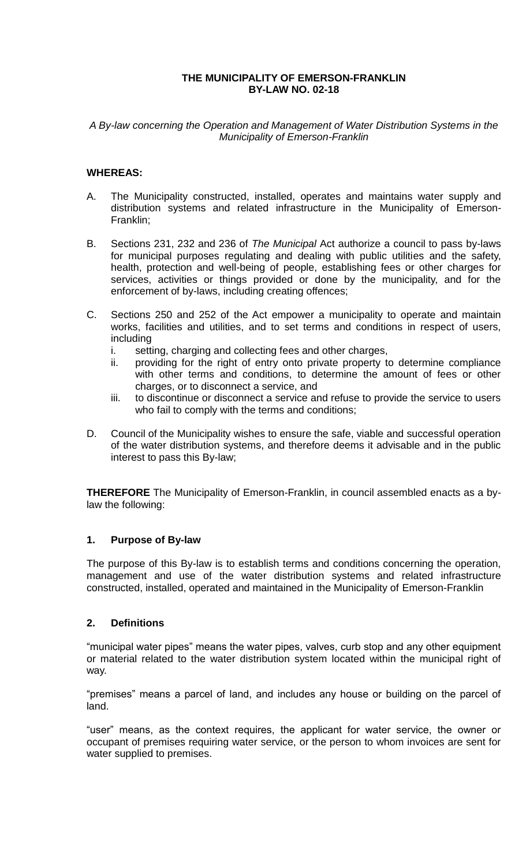# *A By-law concerning the Operation and Management of Water Distribution Systems in the Municipality of Emerson-Franklin*

# **WHEREAS:**

- A. The Municipality constructed, installed, operates and maintains water supply and distribution systems and related infrastructure in the Municipality of Emerson-Franklin;
- B. Sections 231, 232 and 236 of *The Municipal* Act authorize a council to pass by-laws for municipal purposes regulating and dealing with public utilities and the safety, health, protection and well-being of people, establishing fees or other charges for services, activities or things provided or done by the municipality, and for the enforcement of by-laws, including creating offences;
- C. Sections 250 and 252 of the Act empower a municipality to operate and maintain works, facilities and utilities, and to set terms and conditions in respect of users, including
	- i. setting, charging and collecting fees and other charges,
	- ii. providing for the right of entry onto private property to determine compliance with other terms and conditions, to determine the amount of fees or other charges, or to disconnect a service, and
	- iii. to discontinue or disconnect a service and refuse to provide the service to users who fail to comply with the terms and conditions;
- D. Council of the Municipality wishes to ensure the safe, viable and successful operation of the water distribution systems, and therefore deems it advisable and in the public interest to pass this By-law;

**THEREFORE** The Municipality of Emerson-Franklin, in council assembled enacts as a bylaw the following:

# **1. Purpose of By-law**

The purpose of this By-law is to establish terms and conditions concerning the operation, management and use of the water distribution systems and related infrastructure constructed, installed, operated and maintained in the Municipality of Emerson-Franklin

# **2. Definitions**

"municipal water pipes" means the water pipes, valves, curb stop and any other equipment or material related to the water distribution system located within the municipal right of way.

"premises" means a parcel of land, and includes any house or building on the parcel of land.

"user" means, as the context requires, the applicant for water service, the owner or occupant of premises requiring water service, or the person to whom invoices are sent for water supplied to premises.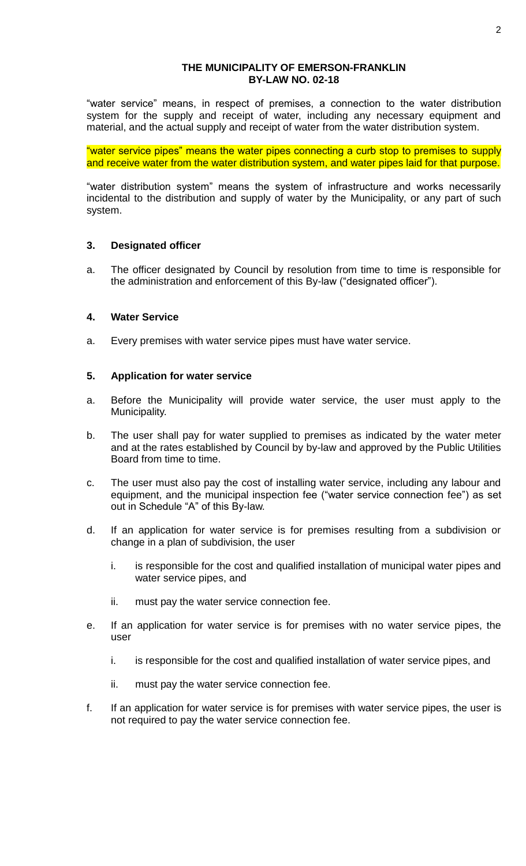"water service" means, in respect of premises, a connection to the water distribution system for the supply and receipt of water, including any necessary equipment and material, and the actual supply and receipt of water from the water distribution system.

"water service pipes" means the water pipes connecting a curb stop to premises to supply and receive water from the water distribution system, and water pipes laid for that purpose.

"water distribution system" means the system of infrastructure and works necessarily incidental to the distribution and supply of water by the Municipality, or any part of such system.

### **3. Designated officer**

a. The officer designated by Council by resolution from time to time is responsible for the administration and enforcement of this By-law ("designated officer").

# **4. Water Service**

a. Every premises with water service pipes must have water service.

# **5. Application for water service**

- a. Before the Municipality will provide water service, the user must apply to the Municipality.
- b. The user shall pay for water supplied to premises as indicated by the water meter and at the rates established by Council by by-law and approved by the Public Utilities Board from time to time.
- c. The user must also pay the cost of installing water service, including any labour and equipment, and the municipal inspection fee ("water service connection fee") as set out in Schedule "A" of this By-law.
- d. If an application for water service is for premises resulting from a subdivision or change in a plan of subdivision, the user
	- i. is responsible for the cost and qualified installation of municipal water pipes and water service pipes, and
	- ii. must pay the water service connection fee.
- e. If an application for water service is for premises with no water service pipes, the user
	- i. is responsible for the cost and qualified installation of water service pipes, and
	- ii. must pay the water service connection fee.
- f. If an application for water service is for premises with water service pipes, the user is not required to pay the water service connection fee.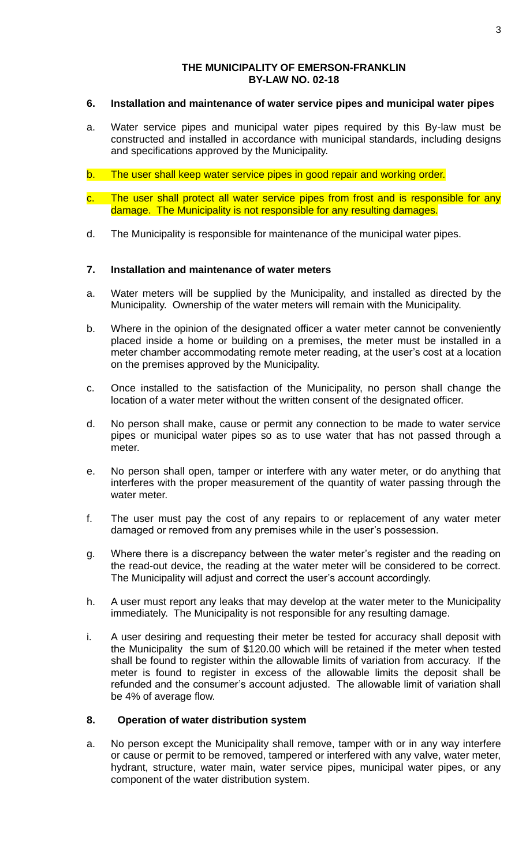# **6. Installation and maintenance of water service pipes and municipal water pipes**

- a. Water service pipes and municipal water pipes required by this By-law must be constructed and installed in accordance with municipal standards, including designs and specifications approved by the Municipality.
- b. The user shall keep water service pipes in good repair and working order.
- c. The user shall protect all water service pipes from frost and is responsible for any damage. The Municipality is not responsible for any resulting damages.
- d. The Municipality is responsible for maintenance of the municipal water pipes.

# **7. Installation and maintenance of water meters**

- a. Water meters will be supplied by the Municipality, and installed as directed by the Municipality. Ownership of the water meters will remain with the Municipality.
- b. Where in the opinion of the designated officer a water meter cannot be conveniently placed inside a home or building on a premises, the meter must be installed in a meter chamber accommodating remote meter reading, at the user's cost at a location on the premises approved by the Municipality.
- c. Once installed to the satisfaction of the Municipality, no person shall change the location of a water meter without the written consent of the designated officer.
- d. No person shall make, cause or permit any connection to be made to water service pipes or municipal water pipes so as to use water that has not passed through a meter.
- e. No person shall open, tamper or interfere with any water meter, or do anything that interferes with the proper measurement of the quantity of water passing through the water meter.
- f. The user must pay the cost of any repairs to or replacement of any water meter damaged or removed from any premises while in the user's possession.
- g. Where there is a discrepancy between the water meter's register and the reading on the read-out device, the reading at the water meter will be considered to be correct. The Municipality will adjust and correct the user's account accordingly.
- h. A user must report any leaks that may develop at the water meter to the Municipality immediately. The Municipality is not responsible for any resulting damage.
- i. A user desiring and requesting their meter be tested for accuracy shall deposit with the Municipality the sum of \$120.00 which will be retained if the meter when tested shall be found to register within the allowable limits of variation from accuracy. If the meter is found to register in excess of the allowable limits the deposit shall be refunded and the consumer's account adjusted. The allowable limit of variation shall be 4% of average flow.

## **8. Operation of water distribution system**

a. No person except the Municipality shall remove, tamper with or in any way interfere or cause or permit to be removed, tampered or interfered with any valve, water meter, hydrant, structure, water main, water service pipes, municipal water pipes, or any component of the water distribution system.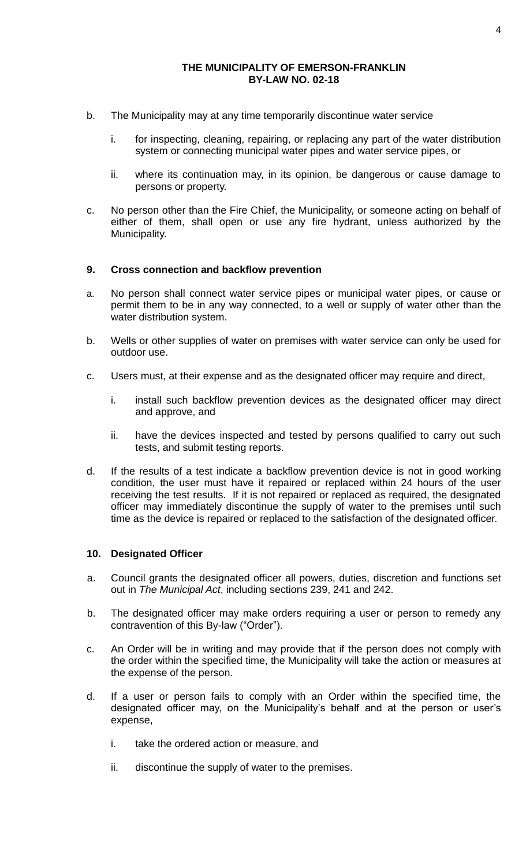- b. The Municipality may at any time temporarily discontinue water service
	- i. for inspecting, cleaning, repairing, or replacing any part of the water distribution system or connecting municipal water pipes and water service pipes, or
	- ii. where its continuation may, in its opinion, be dangerous or cause damage to persons or property.
- c. No person other than the Fire Chief, the Municipality, or someone acting on behalf of either of them, shall open or use any fire hydrant, unless authorized by the Municipality.

# **9. Cross connection and backflow prevention**

- a. No person shall connect water service pipes or municipal water pipes, or cause or permit them to be in any way connected, to a well or supply of water other than the water distribution system.
- b. Wells or other supplies of water on premises with water service can only be used for outdoor use.
- c. Users must, at their expense and as the designated officer may require and direct,
	- i. install such backflow prevention devices as the designated officer may direct and approve, and
	- ii. have the devices inspected and tested by persons qualified to carry out such tests, and submit testing reports.
- d. If the results of a test indicate a backflow prevention device is not in good working condition, the user must have it repaired or replaced within 24 hours of the user receiving the test results. If it is not repaired or replaced as required, the designated officer may immediately discontinue the supply of water to the premises until such time as the device is repaired or replaced to the satisfaction of the designated officer.

### **10. Designated Officer**

- a. Council grants the designated officer all powers, duties, discretion and functions set out in *The Municipal Act*, including sections 239, 241 and 242.
- b. The designated officer may make orders requiring a user or person to remedy any contravention of this By-law ("Order").
- c. An Order will be in writing and may provide that if the person does not comply with the order within the specified time, the Municipality will take the action or measures at the expense of the person.
- d. If a user or person fails to comply with an Order within the specified time, the designated officer may, on the Municipality's behalf and at the person or user's expense,
	- i. take the ordered action or measure, and
	- ii. discontinue the supply of water to the premises.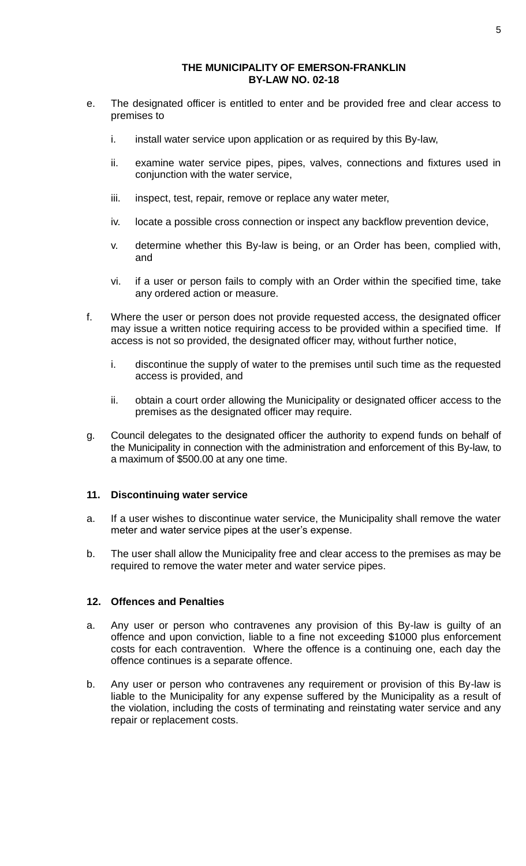- e. The designated officer is entitled to enter and be provided free and clear access to premises to
	- i. install water service upon application or as required by this By-law,
	- ii. examine water service pipes, pipes, valves, connections and fixtures used in conjunction with the water service,
	- iii. inspect, test, repair, remove or replace any water meter,
	- iv. locate a possible cross connection or inspect any backflow prevention device,
	- v. determine whether this By-law is being, or an Order has been, complied with, and
	- vi. if a user or person fails to comply with an Order within the specified time, take any ordered action or measure.
- f. Where the user or person does not provide requested access, the designated officer may issue a written notice requiring access to be provided within a specified time. If access is not so provided, the designated officer may, without further notice,
	- i. discontinue the supply of water to the premises until such time as the requested access is provided, and
	- ii. obtain a court order allowing the Municipality or designated officer access to the premises as the designated officer may require.
- g. Council delegates to the designated officer the authority to expend funds on behalf of the Municipality in connection with the administration and enforcement of this By-law, to a maximum of \$500.00 at any one time.

### **11. Discontinuing water service**

- a. If a user wishes to discontinue water service, the Municipality shall remove the water meter and water service pipes at the user's expense.
- b. The user shall allow the Municipality free and clear access to the premises as may be required to remove the water meter and water service pipes.

### **12. Offences and Penalties**

- a. Any user or person who contravenes any provision of this By-law is guilty of an offence and upon conviction, liable to a fine not exceeding \$1000 plus enforcement costs for each contravention. Where the offence is a continuing one, each day the offence continues is a separate offence.
- b. Any user or person who contravenes any requirement or provision of this By-law is liable to the Municipality for any expense suffered by the Municipality as a result of the violation, including the costs of terminating and reinstating water service and any repair or replacement costs.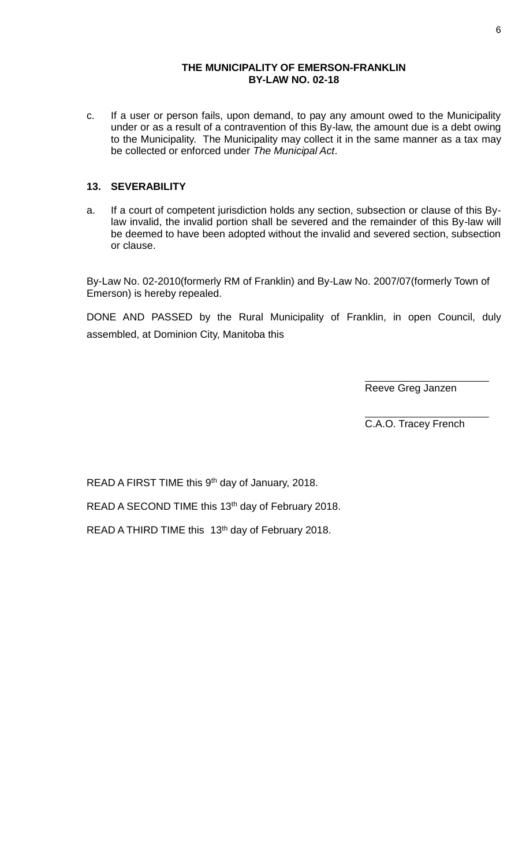c. If a user or person fails, upon demand, to pay any amount owed to the Municipality under or as a result of a contravention of this By-law, the amount due is a debt owing to the Municipality. The Municipality may collect it in the same manner as a tax may be collected or enforced under *The Municipal Act*.

# **13. SEVERABILITY**

a. If a court of competent jurisdiction holds any section, subsection or clause of this Bylaw invalid, the invalid portion shall be severed and the remainder of this By-law will be deemed to have been adopted without the invalid and severed section, subsection or clause.

By-Law No. 02-2010(formerly RM of Franklin) and By-Law No. 2007/07(formerly Town of Emerson) is hereby repealed.

DONE AND PASSED by the Rural Municipality of Franklin, in open Council, duly assembled, at Dominion City, Manitoba this

Reeve Greg Janzen

C.A.O. Tracey French

READ A FIRST TIME this 9<sup>th</sup> day of January, 2018.

READ A SECOND TIME this 13<sup>th</sup> day of February 2018.

READ A THIRD TIME this 13<sup>th</sup> day of February 2018.